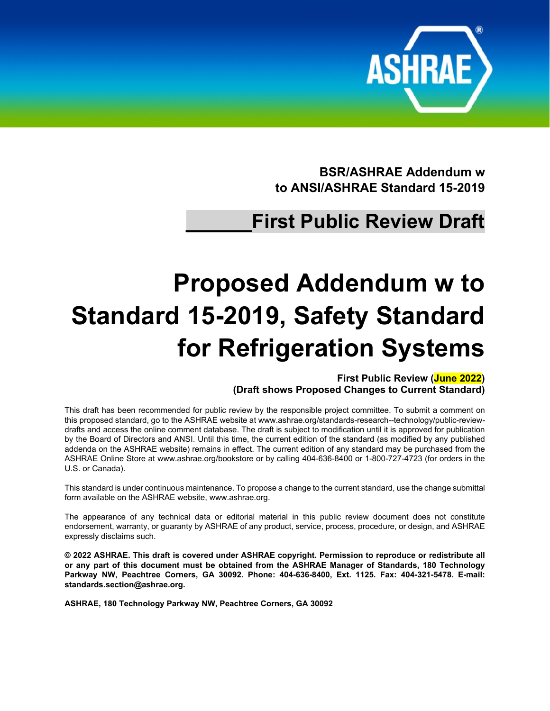

**BSR/ASHRAE Addendum w to ANSI/ASHRAE Standard 15-2019**

## **\_\_\_\_\_\_First Public Review Draft**

# **Proposed Addendum w to Standard 15-2019, Safety Standard for Refrigeration Systems**

**First Public Review (June 2022) (Draft shows Proposed Changes to Current Standard)**

This draft has been recommended for public review by the responsible project committee. To submit a comment on this proposed standard, go to the ASHRAE website a[t www.ashrae.org/standards-research--technology/public-review](http://www.ashrae.org/standards-research--technology/public-review-drafts)[drafts](http://www.ashrae.org/standards-research--technology/public-review-drafts) and access the online comment database. The draft is subject to modification until it is approved for publication by the Board of Directors and ANSI. Until this time, the current edition of the standard (as modified by any published addenda on the ASHRAE website) remains in effect. The current edition of any standard may be purchased from the ASHRAE Online Store at [www.ashrae.org/bookstore](http://www.ashrae.org/bookstore) or by calling 404-636-8400 or 1-800-727-4723 (for orders in the U.S. or Canada).

This standard is under continuous maintenance. To propose a change to the current standard, use the change submittal form available on the ASHRAE website, [www.ashrae.org.](http://www.ashrae.org/)

The appearance of any technical data or editorial material in this public review document does not constitute endorsement, warranty, or guaranty by ASHRAE of any product, service, process, procedure, or design, and ASHRAE expressly disclaims such.

**© 2022 ASHRAE. This draft is covered under ASHRAE copyright. Permission to reproduce or redistribute all or any part of this document must be obtained from the ASHRAE Manager of Standards, 180 Technology Parkway NW, Peachtree Corners, GA 30092. Phone: 404-636-8400, Ext. 1125. Fax: 404-321-5478. E-mail: [standards.section@ashrae.org.](mailto:standards.section@ashrae.org)**

**ASHRAE, 180 Technology Parkway NW, Peachtree Corners, GA 30092**